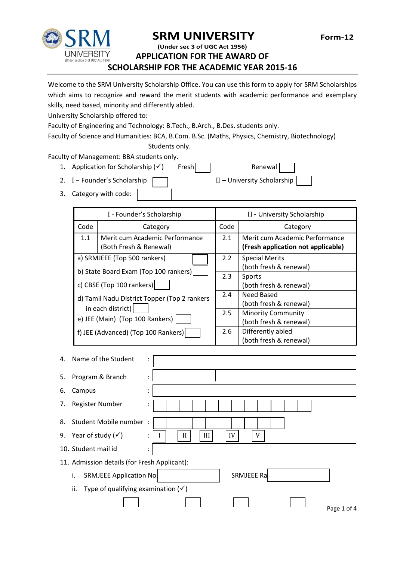



# **SRM UNIVERSITY** Form-12 **(Under sec 3 of UGC Act 1956)**

**APPLICATION FOR THE AWARD OF** 

**SCHOLARSHIP FOR THE ACADEMIC YEAR 2015-16**

Welcome to the SRM University Scholarship Office. You can use this form to apply for SRM Scholarships which aims to recognize and reward the merit students with academic performance and exemplary skills, need based, minority and differently abled.

University Scholarship offered to:

Faculty of Engineering and Technology: B.Tech., B.Arch., B.Des. students only.

Faculty of Science and Humanities: BCA, B.Com. B.Sc. (Maths, Physics, Chemistry, Biotechnology)

Students only.

Faculty of Management: BBA students only.

1. Application for Scholarship  $(v')$  Fresh Renewal

2. I – Founder's Scholarship II – University Scholarship

3. Category with code:

| I - Founder's Scholarship                                                                                                                                                                                                                         |                                                          |     | II - University Scholarship                                          |  |  |
|---------------------------------------------------------------------------------------------------------------------------------------------------------------------------------------------------------------------------------------------------|----------------------------------------------------------|-----|----------------------------------------------------------------------|--|--|
| Code                                                                                                                                                                                                                                              | Category                                                 |     | Category                                                             |  |  |
| 1.1                                                                                                                                                                                                                                               | Merit cum Academic Performance<br>(Both Fresh & Renewal) | 2.1 | Merit cum Academic Performance<br>(Fresh application not applicable) |  |  |
| a) SRMJEEE (Top 500 rankers)<br>b) State Board Exam (Top 100 rankers)<br>c) CBSE (Top 100 rankers)<br>d) Tamil Nadu District Topper (Top 2 rankers<br>in each district)<br>e) JEE (Main) (Top 100 Rankers)<br>f) JEE (Advanced) (Top 100 Rankers) |                                                          | 2.2 | <b>Special Merits</b><br>(both fresh & renewal)                      |  |  |
|                                                                                                                                                                                                                                                   |                                                          | 2.3 | Sports<br>(both fresh & renewal)                                     |  |  |
|                                                                                                                                                                                                                                                   |                                                          | 2.4 | Need Based<br>(both fresh & renewal)                                 |  |  |
|                                                                                                                                                                                                                                                   |                                                          | 2.5 | <b>Minority Community</b><br>(both fresh & renewal)                  |  |  |
|                                                                                                                                                                                                                                                   |                                                          | 2.6 | Differently abled<br>(both fresh & renewal)                          |  |  |

| 4.                                           | Name of the Student                                  | ٠<br>$\bullet$ |                     |  |  |
|----------------------------------------------|------------------------------------------------------|----------------|---------------------|--|--|
| 5.                                           | Program & Branch                                     | ٠<br>٠         |                     |  |  |
| 6.                                           | Campus                                               | $\ddot{\cdot}$ |                     |  |  |
| 7.                                           | <b>Register Number</b>                               | ÷              |                     |  |  |
| 8.                                           | Student Mobile number:                               |                |                     |  |  |
|                                              | 9. Year of study $(\checkmark)$                      | ÷              | III<br>IV<br>V<br>H |  |  |
|                                              | 10. Student mail id                                  | $\ddot{\cdot}$ |                     |  |  |
| 11. Admission details (for Fresh Applicant): |                                                      |                |                     |  |  |
|                                              | SRMJEEE Application No.<br>i.                        |                | SRMJEEE Ra          |  |  |
|                                              | Type of qualifying examination $(\checkmark)$<br>ii. |                |                     |  |  |
|                                              |                                                      |                | Page 1 of 4         |  |  |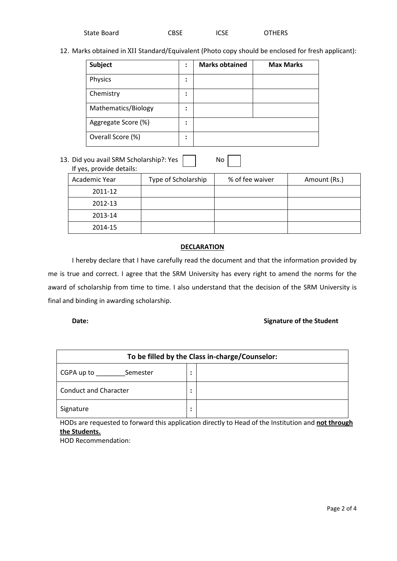| State Board | <b>CBSE</b> | <b>ICSE</b> | <b>OTHERS</b> |
|-------------|-------------|-------------|---------------|
|             |             |             |               |

12. Marks obtained in XII Standard/Equivalent (Photo copy should be enclosed for fresh applicant):

| Subject             | :              | <b>Marks obtained</b> | <b>Max Marks</b> |
|---------------------|----------------|-----------------------|------------------|
| Physics             | ٠<br>$\bullet$ |                       |                  |
| Chemistry           | ٠<br>$\bullet$ |                       |                  |
| Mathematics/Biology | ٠<br>$\bullet$ |                       |                  |
| Aggregate Score (%) | ٠<br>٠         |                       |                  |
| Overall Score (%)   | ٠              |                       |                  |

13. Did you avail SRM Scholarship?: Yes No

| If yes, provide details: |                     |                 |              |
|--------------------------|---------------------|-----------------|--------------|
| Academic Year            | Type of Scholarship | % of fee waiver | Amount (Rs.) |
| 2011-12                  |                     |                 |              |
| 2012-13                  |                     |                 |              |
| 2013-14                  |                     |                 |              |
| 2014-15                  |                     |                 |              |

### **DECLARATION**

I hereby declare that I have carefully read the document and that the information provided by me is true and correct. I agree that the SRM University has every right to amend the norms for the award of scholarship from time to time. I also understand that the decision of the SRM University is final and binding in awarding scholarship.

# **Date: Signature of the Student CO**

| To be filled by the Class in-charge/Counselor: |                |  |
|------------------------------------------------|----------------|--|
| CGPA up to<br>Semester                         | ٠<br>٠         |  |
| <b>Conduct and Character</b>                   | $\bullet$<br>٠ |  |
| Signature                                      | $\bullet$<br>٠ |  |

HODs are requested to forward this application directly to Head of the Institution and **not through the Students.**

HOD Recommendation: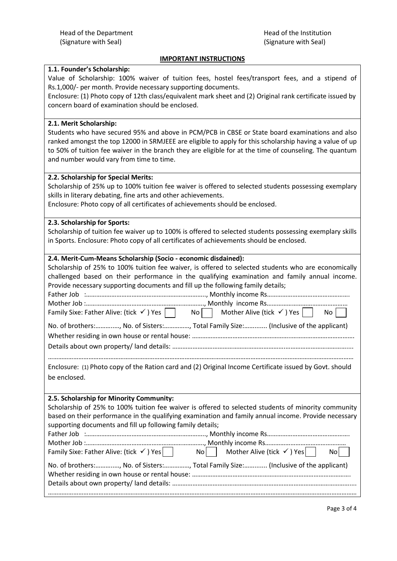# **IMPORTANT INSTRUCTIONS**

### **1.1. Founder's Scholarship:**

Value of Scholarship: 100% waiver of tuition fees, hostel fees/transport fees, and a stipend of Rs.1,000/- per month. Provide necessary supporting documents.

Enclosure: (1) Photo copy of 12th class/equivalent mark sheet and (2) Original rank certificate issued by concern board of examination should be enclosed.

### **2.1. Merit Scholarship:**

Students who have secured 95% and above in PCM/PCB in CBSE or State board examinations and also ranked amongst the top 12000 in SRMJEEE are eligible to apply for this scholarship having a value of up to 50% of tuition fee waiver in the branch they are eligible for at the time of counseling. The quantum and number would vary from time to time.

#### **2.2. Scholarship for Special Merits:**

Scholarship of 25% up to 100% tuition fee waiver is offered to selected students possessing exemplary skills in literary debating, fine arts and other achievements.

Enclosure: Photo copy of all certificates of achievements should be enclosed.

### **2.3. Scholarship for Sports:**

Scholarship of tuition fee waiver up to 100% is offered to selected students possessing exemplary skills in Sports. Enclosure: Photo copy of all certificates of achievements should be enclosed.

# **2.4. Merit-Cum-Means Scholarship (Socio - economic disdained):**

| Scholarship of 25% to 100% tuition fee waiver, is offered to selected students who are economically<br>challenged based on their performance in the qualifying examination and family annual income.<br>Provide necessary supporting documents and fill up the following family details;<br>Family Sixe: Father Alive: (tick $\checkmark$ ) Yes $\Box$ No $\Box$ Mother Alive (tick $\checkmark$ ) Yes $\Box$ No $\Box$                                                                                                |
|------------------------------------------------------------------------------------------------------------------------------------------------------------------------------------------------------------------------------------------------------------------------------------------------------------------------------------------------------------------------------------------------------------------------------------------------------------------------------------------------------------------------|
| No. of brothers:, No. of Sisters:, Total Family Size: (Inclusive of the applicant)                                                                                                                                                                                                                                                                                                                                                                                                                                     |
| Enclosure: (1) Photo copy of the Ration card and (2) Original Income Certificate issued by Govt. should<br>be enclosed.                                                                                                                                                                                                                                                                                                                                                                                                |
| 2.5. Scholarship for Minority Community:<br>Scholarship of 25% to 100% tuition fee waiver is offered to selected students of minority community<br>based on their performance in the qualifying examination and family annual income. Provide necessary<br>supporting documents and fill up following family details;<br>Family Sixe: Father Alive: (tick $\checkmark$ ) Yes No No Nother Alive (tick $\checkmark$ ) Yes<br>No l<br>No. of brothers:, No. of Sisters:, Total Family Size: (Inclusive of the applicant) |